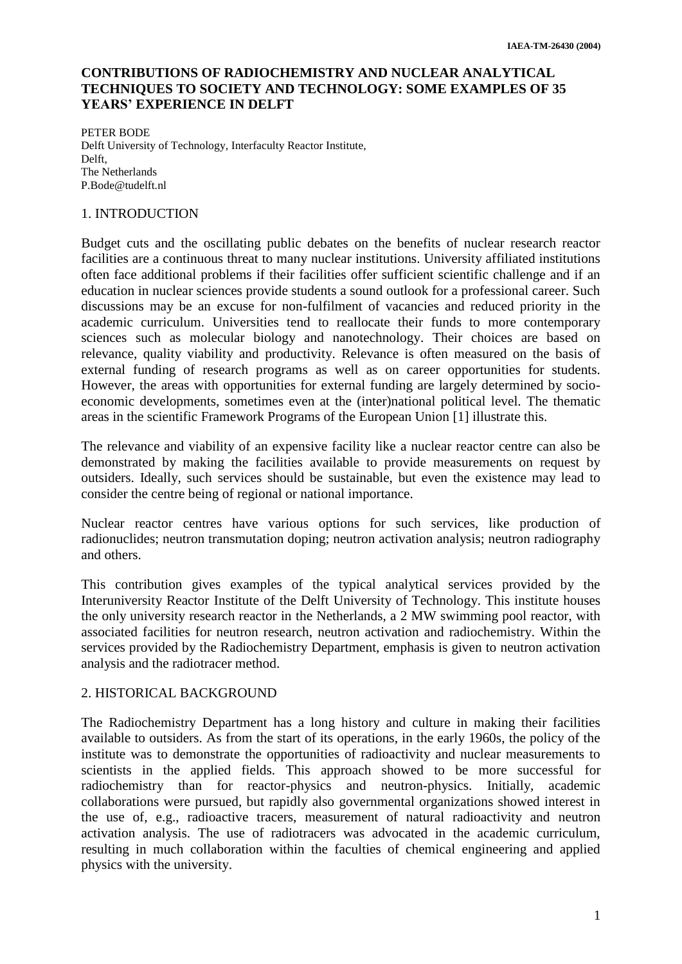# **CONTRIBUTIONS OF RADIOCHEMISTRY AND NUCLEAR ANALYTICAL TECHNIQUES TO SOCIETY AND TECHNOLOGY: SOME EXAMPLES OF 35 YEARS' EXPERIENCE IN DELFT**

PETER BODE Delft University of Technology, Interfaculty Reactor Institute, Delft, The Netherlands P.Bode@tudelft.nl

## 1. INTRODUCTION

Budget cuts and the oscillating public debates on the benefits of nuclear research reactor facilities are a continuous threat to many nuclear institutions. University affiliated institutions often face additional problems if their facilities offer sufficient scientific challenge and if an education in nuclear sciences provide students a sound outlook for a professional career. Such discussions may be an excuse for non-fulfilment of vacancies and reduced priority in the academic curriculum. Universities tend to reallocate their funds to more contemporary sciences such as molecular biology and nanotechnology. Their choices are based on relevance, quality viability and productivity. Relevance is often measured on the basis of external funding of research programs as well as on career opportunities for students. However, the areas with opportunities for external funding are largely determined by socioeconomic developments, sometimes even at the (inter)national political level. The thematic areas in the scientific Framework Programs of the European Union [1] illustrate this.

The relevance and viability of an expensive facility like a nuclear reactor centre can also be demonstrated by making the facilities available to provide measurements on request by outsiders. Ideally, such services should be sustainable, but even the existence may lead to consider the centre being of regional or national importance.

Nuclear reactor centres have various options for such services, like production of radionuclides; neutron transmutation doping; neutron activation analysis; neutron radiography and others.

This contribution gives examples of the typical analytical services provided by the Interuniversity Reactor Institute of the Delft University of Technology. This institute houses the only university research reactor in the Netherlands, a 2 MW swimming pool reactor, with associated facilities for neutron research, neutron activation and radiochemistry. Within the services provided by the Radiochemistry Department, emphasis is given to neutron activation analysis and the radiotracer method.

## 2. HISTORICAL BACKGROUND

The Radiochemistry Department has a long history and culture in making their facilities available to outsiders. As from the start of its operations, in the early 1960s, the policy of the institute was to demonstrate the opportunities of radioactivity and nuclear measurements to scientists in the applied fields. This approach showed to be more successful for radiochemistry than for reactor-physics and neutron-physics. Initially, academic collaborations were pursued, but rapidly also governmental organizations showed interest in the use of, e.g., radioactive tracers, measurement of natural radioactivity and neutron activation analysis. The use of radiotracers was advocated in the academic curriculum, resulting in much collaboration within the faculties of chemical engineering and applied physics with the university.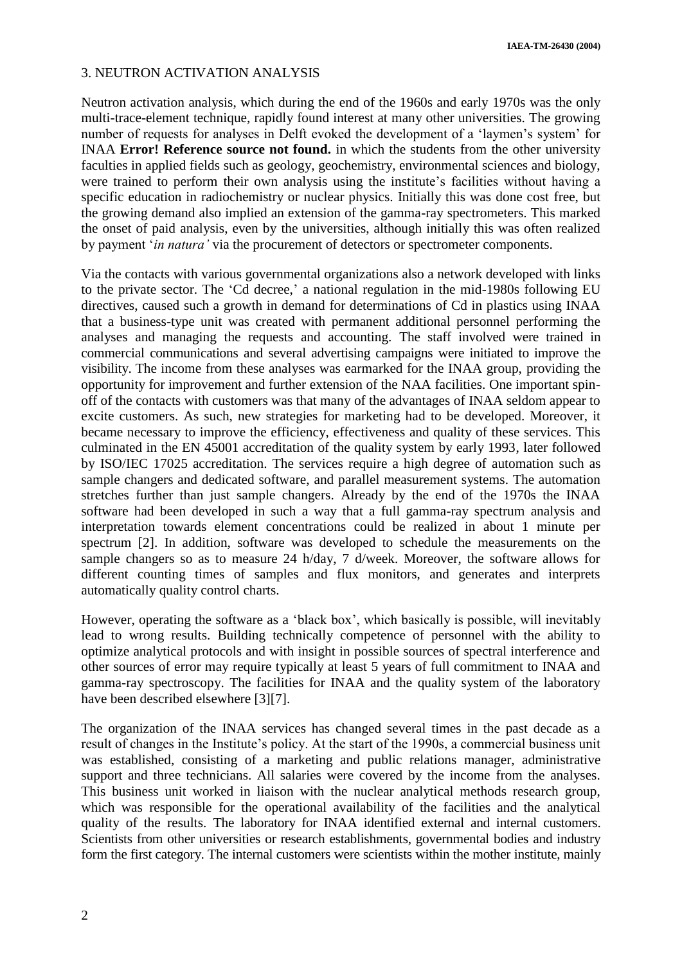**IAEA-TM-26430 (2004)**

## 3. NEUTRON ACTIVATION ANALYSIS

Neutron activation analysis, which during the end of the 1960s and early 1970s was the only multi-trace-element technique, rapidly found interest at many other universities. The growing number of requests for analyses in Delft evoked the development of a 'laymen's system' for INAA **Error! Reference source not found.** in which the students from the other university faculties in applied fields such as geology, geochemistry, environmental sciences and biology, were trained to perform their own analysis using the institute's facilities without having a specific education in radiochemistry or nuclear physics. Initially this was done cost free, but the growing demand also implied an extension of the gamma-ray spectrometers. This marked the onset of paid analysis, even by the universities, although initially this was often realized by payment '*in natura'* via the procurement of detectors or spectrometer components.

Via the contacts with various governmental organizations also a network developed with links to the private sector. The 'Cd decree,' a national regulation in the mid-1980s following EU directives, caused such a growth in demand for determinations of Cd in plastics using INAA that a business-type unit was created with permanent additional personnel performing the analyses and managing the requests and accounting. The staff involved were trained in commercial communications and several advertising campaigns were initiated to improve the visibility. The income from these analyses was earmarked for the INAA group, providing the opportunity for improvement and further extension of the NAA facilities. One important spinoff of the contacts with customers was that many of the advantages of INAA seldom appear to excite customers. As such, new strategies for marketing had to be developed. Moreover, it became necessary to improve the efficiency, effectiveness and quality of these services. This culminated in the EN 45001 accreditation of the quality system by early 1993, later followed by ISO/IEC 17025 accreditation. The services require a high degree of automation such as sample changers and dedicated software, and parallel measurement systems. The automation stretches further than just sample changers. Already by the end of the 1970s the INAA software had been developed in such a way that a full gamma-ray spectrum analysis and interpretation towards element concentrations could be realized in about 1 minute per spectrum [2]. In addition, software was developed to schedule the measurements on the sample changers so as to measure 24 h/day, 7 d/week. Moreover, the software allows for different counting times of samples and flux monitors, and generates and interprets automatically quality control charts.

However, operating the software as a 'black box', which basically is possible, will inevitably lead to wrong results. Building technically competence of personnel with the ability to optimize analytical protocols and with insight in possible sources of spectral interference and other sources of error may require typically at least 5 years of full commitment to INAA and gamma-ray spectroscopy. The facilities for INAA and the quality system of the laboratory have been described elsewhere [3][7].

The organization of the INAA services has changed several times in the past decade as a result of changes in the Institute's policy. At the start of the 1990s, a commercial business unit was established, consisting of a marketing and public relations manager, administrative support and three technicians. All salaries were covered by the income from the analyses. This business unit worked in liaison with the nuclear analytical methods research group, which was responsible for the operational availability of the facilities and the analytical quality of the results. The laboratory for INAA identified external and internal customers. Scientists from other universities or research establishments, governmental bodies and industry form the first category. The internal customers were scientists within the mother institute, mainly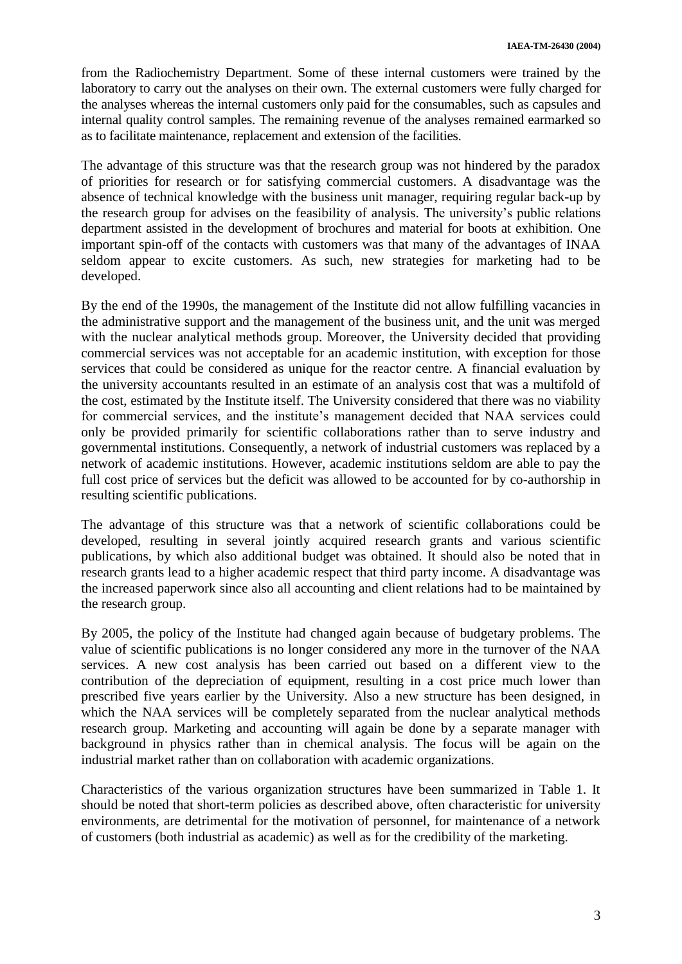from the Radiochemistry Department. Some of these internal customers were trained by the laboratory to carry out the analyses on their own. The external customers were fully charged for the analyses whereas the internal customers only paid for the consumables, such as capsules and internal quality control samples. The remaining revenue of the analyses remained earmarked so as to facilitate maintenance, replacement and extension of the facilities.

The advantage of this structure was that the research group was not hindered by the paradox of priorities for research or for satisfying commercial customers. A disadvantage was the absence of technical knowledge with the business unit manager, requiring regular back-up by the research group for advises on the feasibility of analysis. The university's public relations department assisted in the development of brochures and material for boots at exhibition. One important spin-off of the contacts with customers was that many of the advantages of INAA seldom appear to excite customers. As such, new strategies for marketing had to be developed.

By the end of the 1990s, the management of the Institute did not allow fulfilling vacancies in the administrative support and the management of the business unit, and the unit was merged with the nuclear analytical methods group. Moreover, the University decided that providing commercial services was not acceptable for an academic institution, with exception for those services that could be considered as unique for the reactor centre. A financial evaluation by the university accountants resulted in an estimate of an analysis cost that was a multifold of the cost, estimated by the Institute itself. The University considered that there was no viability for commercial services, and the institute's management decided that NAA services could only be provided primarily for scientific collaborations rather than to serve industry and governmental institutions. Consequently, a network of industrial customers was replaced by a network of academic institutions. However, academic institutions seldom are able to pay the full cost price of services but the deficit was allowed to be accounted for by co-authorship in resulting scientific publications.

The advantage of this structure was that a network of scientific collaborations could be developed, resulting in several jointly acquired research grants and various scientific publications, by which also additional budget was obtained. It should also be noted that in research grants lead to a higher academic respect that third party income. A disadvantage was the increased paperwork since also all accounting and client relations had to be maintained by the research group.

By 2005, the policy of the Institute had changed again because of budgetary problems. The value of scientific publications is no longer considered any more in the turnover of the NAA services. A new cost analysis has been carried out based on a different view to the contribution of the depreciation of equipment, resulting in a cost price much lower than prescribed five years earlier by the University. Also a new structure has been designed, in which the NAA services will be completely separated from the nuclear analytical methods research group. Marketing and accounting will again be done by a separate manager with background in physics rather than in chemical analysis. The focus will be again on the industrial market rather than on collaboration with academic organizations.

Characteristics of the various organization structures have been summarized in Table 1. It should be noted that short-term policies as described above, often characteristic for university environments, are detrimental for the motivation of personnel, for maintenance of a network of customers (both industrial as academic) as well as for the credibility of the marketing.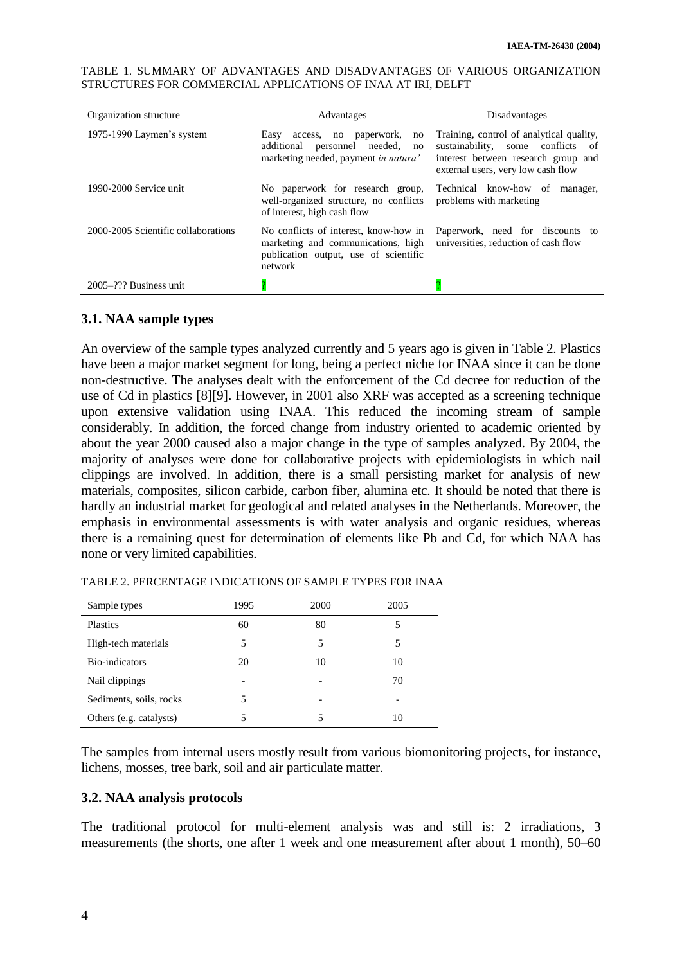| Organization structure              | Advantages                                                                                                                                                                                                  | Disadvantages                                                                                                                                                   |  |
|-------------------------------------|-------------------------------------------------------------------------------------------------------------------------------------------------------------------------------------------------------------|-----------------------------------------------------------------------------------------------------------------------------------------------------------------|--|
| 1975-1990 Laymen's system           | paperwork,<br>Easy<br>access, no<br>no<br>personnel needed,<br>additional<br>no<br>marketing needed, payment in natura'                                                                                     | Training, control of analytical quality,<br>sustainability, some conflicts<br>- of<br>interest between research group and<br>external users, very low cash flow |  |
| 1990-2000 Service unit              | No paperwork for research group,<br>Technical know-how of<br>manager.<br>well-organized structure, no conflicts<br>problems with marketing<br>of interest, high cash flow                                   |                                                                                                                                                                 |  |
| 2000-2005 Scientific collaborations | No conflicts of interest, know-how in<br>Paperwork, need for discounts to<br>universities, reduction of cash flow<br>marketing and communications, high<br>publication output, use of scientific<br>network |                                                                                                                                                                 |  |
| $2005 - ?$ ?? Business unit         |                                                                                                                                                                                                             |                                                                                                                                                                 |  |

TABLE 1. SUMMARY OF ADVANTAGES AND DISADVANTAGES OF VARIOUS ORGANIZATION STRUCTURES FOR COMMERCIAL APPLICATIONS OF INAA AT IRI, DELFT

#### **3.1. NAA sample types**

An overview of the sample types analyzed currently and 5 years ago is given in Table 2. Plastics have been a major market segment for long, being a perfect niche for INAA since it can be done non-destructive. The analyses dealt with the enforcement of the Cd decree for reduction of the use of Cd in plastics [8][9]. However, in 2001 also XRF was accepted as a screening technique upon extensive validation using INAA. This reduced the incoming stream of sample considerably. In addition, the forced change from industry oriented to academic oriented by about the year 2000 caused also a major change in the type of samples analyzed. By 2004, the majority of analyses were done for collaborative projects with epidemiologists in which nail clippings are involved. In addition, there is a small persisting market for analysis of new materials, composites, silicon carbide, carbon fiber, alumina etc. It should be noted that there is hardly an industrial market for geological and related analyses in the Netherlands. Moreover, the emphasis in environmental assessments is with water analysis and organic residues, whereas there is a remaining quest for determination of elements like Pb and Cd, for which NAA has none or very limited capabilities.

| Sample types            | 1995                     | 2000 | 2005 |
|-------------------------|--------------------------|------|------|
| Plastics                | 60                       | 80   | 5    |
| High-tech materials     | 5                        | 5    | 5    |
| Bio-indicators          | 20                       | 10   | 10   |
| Nail clippings          | $\overline{\phantom{a}}$ |      | 70   |
| Sediments, soils, rocks | 5                        | -    |      |
| Others (e.g. catalysts) |                          | 5    | 10   |

TABLE 2. PERCENTAGE INDICATIONS OF SAMPLE TYPES FOR INAA

The samples from internal users mostly result from various biomonitoring projects, for instance, lichens, mosses, tree bark, soil and air particulate matter.

#### **3.2. NAA analysis protocols**

The traditional protocol for multi-element analysis was and still is: 2 irradiations, 3 measurements (the shorts, one after 1 week and one measurement after about 1 month), 50–60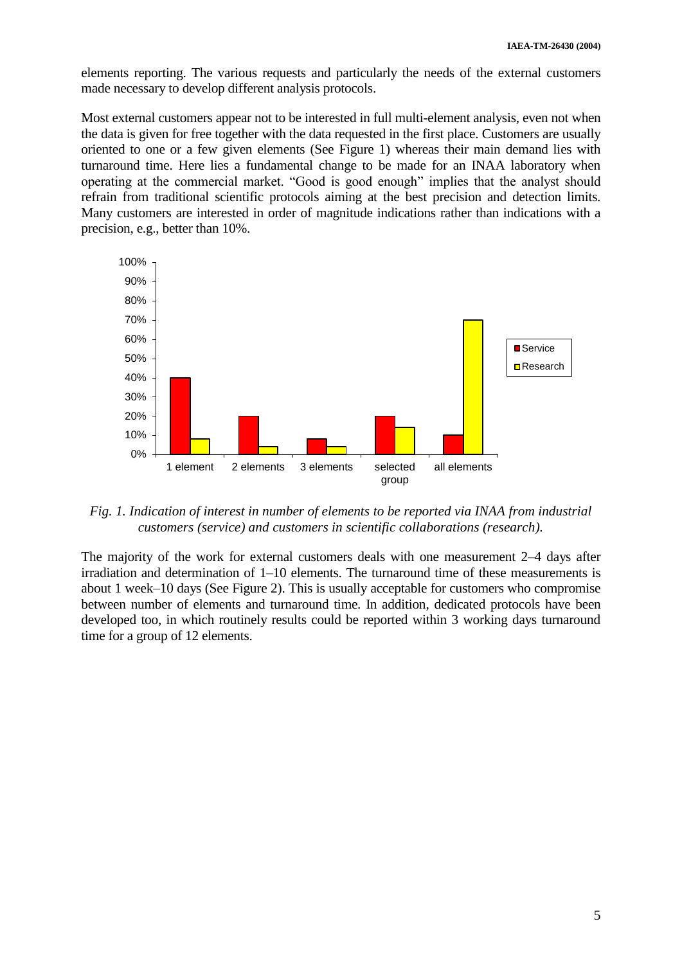elements reporting. The various requests and particularly the needs of the external customers made necessary to develop different analysis protocols.

Most external customers appear not to be interested in full multi-element analysis, even not when the data is given for free together with the data requested in the first place. Customers are usually oriented to one or a few given elements (See Figure 1) whereas their main demand lies with turnaround time. Here lies a fundamental change to be made for an INAA laboratory when operating at the commercial market. "Good is good enough" implies that the analyst should refrain from traditional scientific protocols aiming at the best precision and detection limits. Many customers are interested in order of magnitude indications rather than indications with a precision, e.g., better than 10%.



*Fig. 1. Indication of interest in number of elements to be reported via INAA from industrial customers (service) and customers in scientific collaborations (research).*

The majority of the work for external customers deals with one measurement 2–4 days after irradiation and determination of 1–10 elements. The turnaround time of these measurements is about 1 week–10 days (See Figure 2). This is usually acceptable for customers who compromise between number of elements and turnaround time. In addition, dedicated protocols have been developed too, in which routinely results could be reported within 3 working days turnaround time for a group of 12 elements.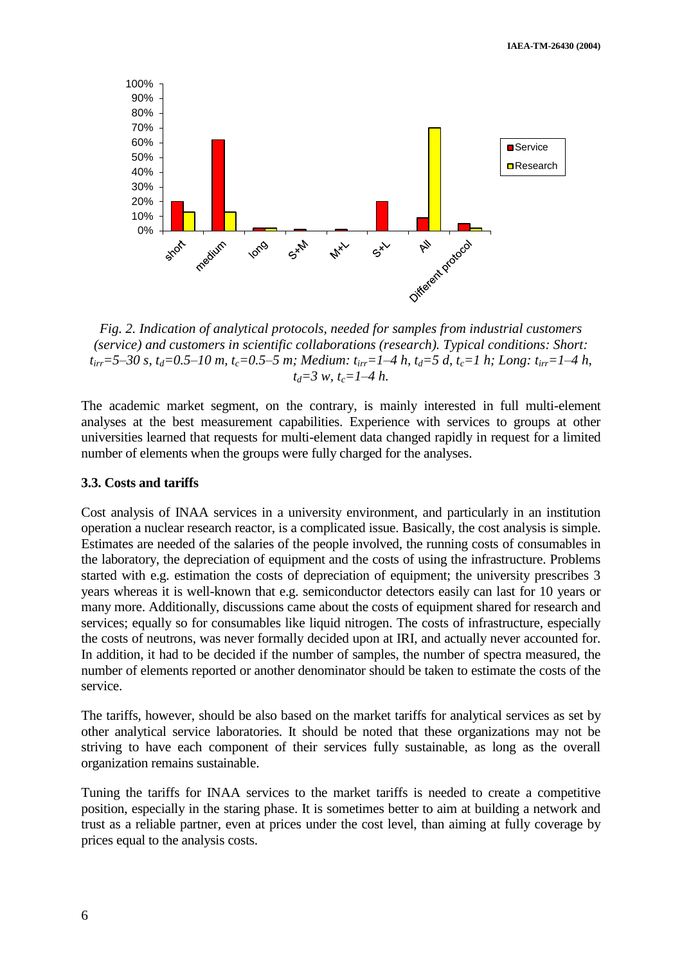**IAEA-TM-26430 (2004)**



*Fig. 2. Indication of analytical protocols, needed for samples from industrial customers (service) and customers in scientific collaborations (research). Typical conditions: Short:*   $t_{irr}$ =5–30 s,  $t_d$ =0.5–10 m,  $t_c$ =0.5–5 m; Medium:  $t_{irr}$ =1–4 h,  $t_d$ =5 d,  $t_c$ =1 h; Long:  $t_{irr}$ =1–4 h, *td=3 w, tc=1–4 h.*

The academic market segment, on the contrary, is mainly interested in full multi-element analyses at the best measurement capabilities. Experience with services to groups at other universities learned that requests for multi-element data changed rapidly in request for a limited number of elements when the groups were fully charged for the analyses.

#### **3.3. Costs and tariffs**

Cost analysis of INAA services in a university environment, and particularly in an institution operation a nuclear research reactor, is a complicated issue. Basically, the cost analysis is simple. Estimates are needed of the salaries of the people involved, the running costs of consumables in the laboratory, the depreciation of equipment and the costs of using the infrastructure. Problems started with e.g. estimation the costs of depreciation of equipment; the university prescribes 3 years whereas it is well-known that e.g. semiconductor detectors easily can last for 10 years or many more. Additionally, discussions came about the costs of equipment shared for research and services; equally so for consumables like liquid nitrogen. The costs of infrastructure, especially the costs of neutrons, was never formally decided upon at IRI, and actually never accounted for. In addition, it had to be decided if the number of samples, the number of spectra measured, the number of elements reported or another denominator should be taken to estimate the costs of the service.

The tariffs, however, should be also based on the market tariffs for analytical services as set by other analytical service laboratories. It should be noted that these organizations may not be striving to have each component of their services fully sustainable, as long as the overall organization remains sustainable.

Tuning the tariffs for INAA services to the market tariffs is needed to create a competitive position, especially in the staring phase. It is sometimes better to aim at building a network and trust as a reliable partner, even at prices under the cost level, than aiming at fully coverage by prices equal to the analysis costs.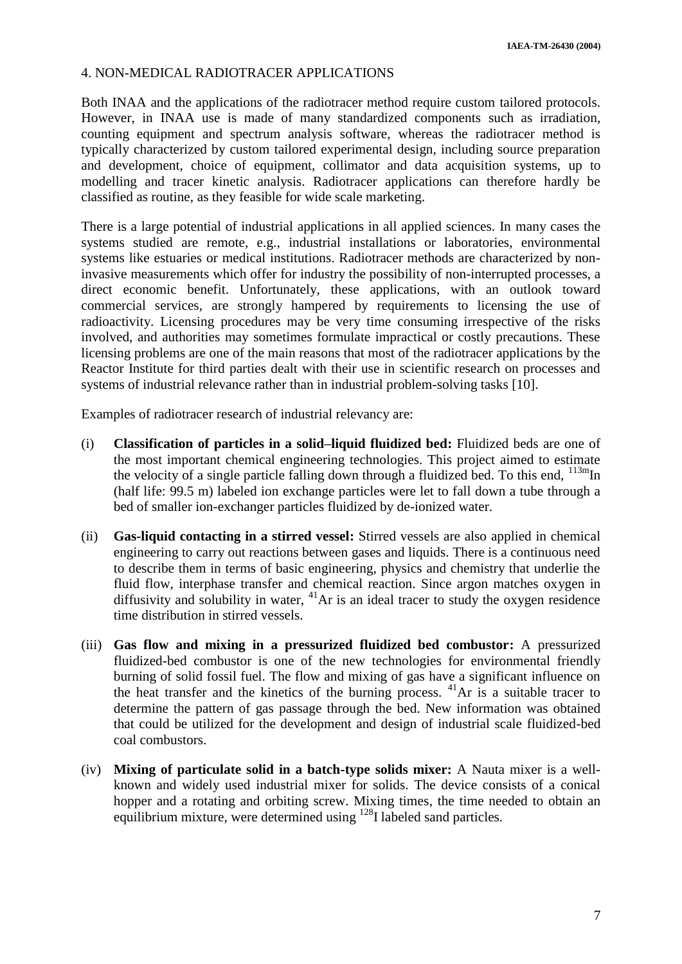## 4. NON-MEDICAL RADIOTRACER APPLICATIONS

Both INAA and the applications of the radiotracer method require custom tailored protocols. However, in INAA use is made of many standardized components such as irradiation, counting equipment and spectrum analysis software, whereas the radiotracer method is typically characterized by custom tailored experimental design, including source preparation and development, choice of equipment, collimator and data acquisition systems, up to modelling and tracer kinetic analysis. Radiotracer applications can therefore hardly be classified as routine, as they feasible for wide scale marketing.

There is a large potential of industrial applications in all applied sciences. In many cases the systems studied are remote, e.g., industrial installations or laboratories, environmental systems like estuaries or medical institutions. Radiotracer methods are characterized by noninvasive measurements which offer for industry the possibility of non-interrupted processes, a direct economic benefit. Unfortunately, these applications, with an outlook toward commercial services, are strongly hampered by requirements to licensing the use of radioactivity. Licensing procedures may be very time consuming irrespective of the risks involved, and authorities may sometimes formulate impractical or costly precautions. These licensing problems are one of the main reasons that most of the radiotracer applications by the Reactor Institute for third parties dealt with their use in scientific research on processes and systems of industrial relevance rather than in industrial problem-solving tasks [10].

Examples of radiotracer research of industrial relevancy are:

- (i) **Classification of particles in a solid–liquid fluidized bed:** Fluidized beds are one of the most important chemical engineering technologies. This project aimed to estimate the velocity of a single particle falling down through a fluidized bed. To this end,  $^{113m}$ In (half life: 99.5 m) labeled ion exchange particles were let to fall down a tube through a bed of smaller ion-exchanger particles fluidized by de-ionized water.
- (ii) **Gas-liquid contacting in a stirred vessel:** Stirred vessels are also applied in chemical engineering to carry out reactions between gases and liquids. There is a continuous need to describe them in terms of basic engineering, physics and chemistry that underlie the fluid flow, interphase transfer and chemical reaction. Since argon matches oxygen in diffusivity and solubility in water,  $^{41}$ Ar is an ideal tracer to study the oxygen residence time distribution in stirred vessels.
- (iii) **Gas flow and mixing in a pressurized fluidized bed combustor:** A pressurized fluidized-bed combustor is one of the new technologies for environmental friendly burning of solid fossil fuel. The flow and mixing of gas have a significant influence on the heat transfer and the kinetics of the burning process.  $4^{\circ}$ Ar is a suitable tracer to determine the pattern of gas passage through the bed. New information was obtained that could be utilized for the development and design of industrial scale fluidized-bed coal combustors.
- (iv) **Mixing of particulate solid in a batch-type solids mixer:** A Nauta mixer is a wellknown and widely used industrial mixer for solids. The device consists of a conical hopper and a rotating and orbiting screw. Mixing times, the time needed to obtain an equilibrium mixture, were determined using <sup>128</sup>I labeled sand particles.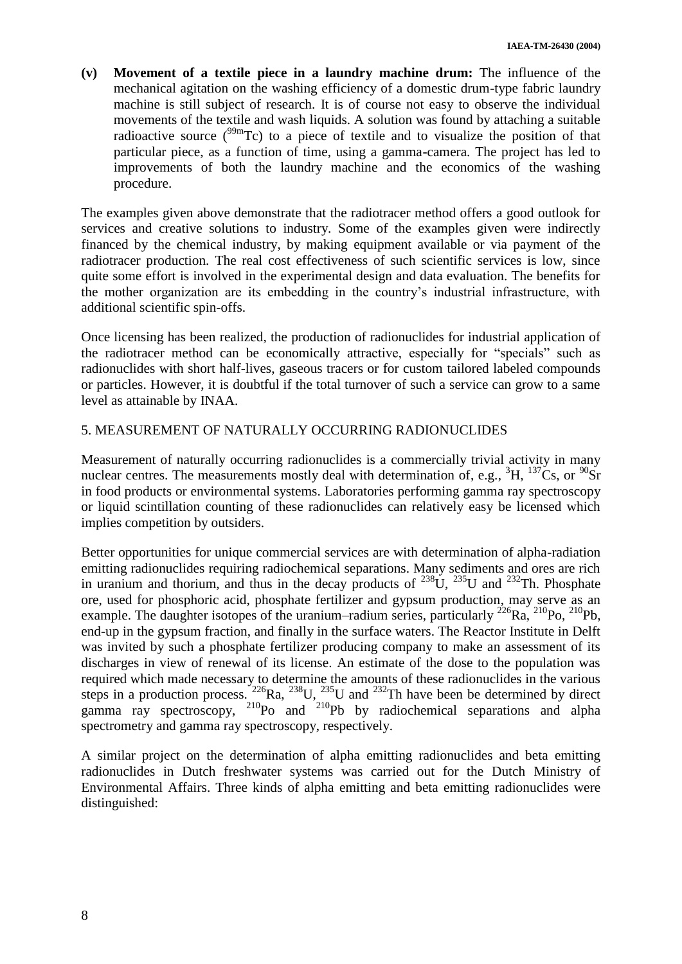**(v) Movement of a textile piece in a laundry machine drum:** The influence of the mechanical agitation on the washing efficiency of a domestic drum-type fabric laundry machine is still subject of research. It is of course not easy to observe the individual movements of the textile and wash liquids. A solution was found by attaching a suitable radioactive source  $(^{99m}Tc)$  to a piece of textile and to visualize the position of that particular piece, as a function of time, using a gamma-camera. The project has led to improvements of both the laundry machine and the economics of the washing procedure.

The examples given above demonstrate that the radiotracer method offers a good outlook for services and creative solutions to industry. Some of the examples given were indirectly financed by the chemical industry, by making equipment available or via payment of the radiotracer production. The real cost effectiveness of such scientific services is low, since quite some effort is involved in the experimental design and data evaluation. The benefits for the mother organization are its embedding in the country's industrial infrastructure, with additional scientific spin-offs.

Once licensing has been realized, the production of radionuclides for industrial application of the radiotracer method can be economically attractive, especially for "specials" such as radionuclides with short half-lives, gaseous tracers or for custom tailored labeled compounds or particles. However, it is doubtful if the total turnover of such a service can grow to a same level as attainable by INAA.

## 5. MEASUREMENT OF NATURALLY OCCURRING RADIONUCLIDES

Measurement of naturally occurring radionuclides is a commercially trivial activity in many nuclear centres. The measurements mostly deal with determination of, e.g.,  ${}^{3}H$ ,  ${}^{137}Cs$ , or  ${}^{90}Sr$ in food products or environmental systems. Laboratories performing gamma ray spectroscopy or liquid scintillation counting of these radionuclides can relatively easy be licensed which implies competition by outsiders.

Better opportunities for unique commercial services are with determination of alpha-radiation emitting radionuclides requiring radiochemical separations. Many sediments and ores are rich in uranium and thorium, and thus in the decay products of  $^{238}$ U,  $^{235}$ U and  $^{232}$ Th. Phosphate ore, used for phosphoric acid, phosphate fertilizer and gypsum production, may serve as an example. The daughter isotopes of the uranium–radium series, particularly <sup>226</sup>Ra, <sup>210</sup>Po, <sup>210</sup>Pb, end-up in the gypsum fraction, and finally in the surface waters. The Reactor Institute in Delft was invited by such a phosphate fertilizer producing company to make an assessment of its discharges in view of renewal of its license. An estimate of the dose to the population was required which made necessary to determine the amounts of these radionuclides in the various steps in a production process.  $^{226}$ Ra,  $^{238}$ U,  $^{235}$ U and  $^{232}$ Th have been be determined by direct gamma ray spectroscopy, <sup>210</sup>Po and <sup>210</sup>Pb by radiochemical separations and alpha spectrometry and gamma ray spectroscopy, respectively.

A similar project on the determination of alpha emitting radionuclides and beta emitting radionuclides in Dutch freshwater systems was carried out for the Dutch Ministry of Environmental Affairs. Three kinds of alpha emitting and beta emitting radionuclides were distinguished: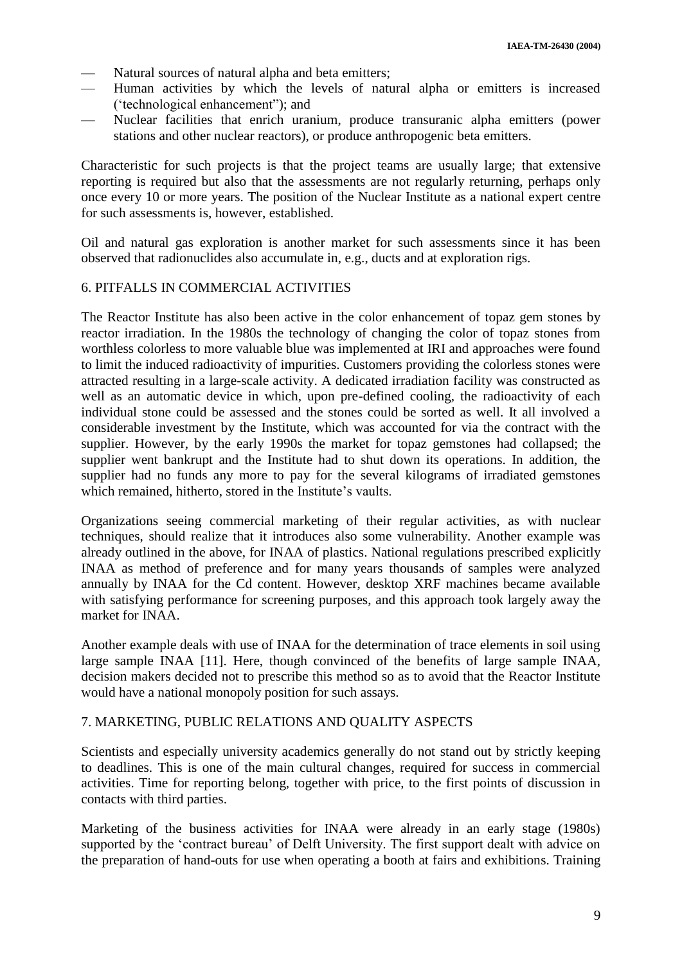- Natural sources of natural alpha and beta emitters;
- Human activities by which the levels of natural alpha or emitters is increased ('technological enhancement"); and
- Nuclear facilities that enrich uranium, produce transuranic alpha emitters (power stations and other nuclear reactors), or produce anthropogenic beta emitters.

Characteristic for such projects is that the project teams are usually large; that extensive reporting is required but also that the assessments are not regularly returning, perhaps only once every 10 or more years. The position of the Nuclear Institute as a national expert centre for such assessments is, however, established.

Oil and natural gas exploration is another market for such assessments since it has been observed that radionuclides also accumulate in, e.g., ducts and at exploration rigs.

## 6. PITFALLS IN COMMERCIAL ACTIVITIES

The Reactor Institute has also been active in the color enhancement of topaz gem stones by reactor irradiation. In the 1980s the technology of changing the color of topaz stones from worthless colorless to more valuable blue was implemented at IRI and approaches were found to limit the induced radioactivity of impurities. Customers providing the colorless stones were attracted resulting in a large-scale activity. A dedicated irradiation facility was constructed as well as an automatic device in which, upon pre-defined cooling, the radioactivity of each individual stone could be assessed and the stones could be sorted as well. It all involved a considerable investment by the Institute, which was accounted for via the contract with the supplier. However, by the early 1990s the market for topaz gemstones had collapsed; the supplier went bankrupt and the Institute had to shut down its operations. In addition, the supplier had no funds any more to pay for the several kilograms of irradiated gemstones which remained, hitherto, stored in the Institute's vaults.

Organizations seeing commercial marketing of their regular activities, as with nuclear techniques, should realize that it introduces also some vulnerability. Another example was already outlined in the above, for INAA of plastics. National regulations prescribed explicitly INAA as method of preference and for many years thousands of samples were analyzed annually by INAA for the Cd content. However, desktop XRF machines became available with satisfying performance for screening purposes, and this approach took largely away the market for INAA.

Another example deals with use of INAA for the determination of trace elements in soil using large sample INAA [11]. Here, though convinced of the benefits of large sample INAA, decision makers decided not to prescribe this method so as to avoid that the Reactor Institute would have a national monopoly position for such assays.

## 7. MARKETING, PUBLIC RELATIONS AND QUALITY ASPECTS

Scientists and especially university academics generally do not stand out by strictly keeping to deadlines. This is one of the main cultural changes, required for success in commercial activities. Time for reporting belong, together with price, to the first points of discussion in contacts with third parties.

Marketing of the business activities for INAA were already in an early stage (1980s) supported by the 'contract bureau' of Delft University. The first support dealt with advice on the preparation of hand-outs for use when operating a booth at fairs and exhibitions. Training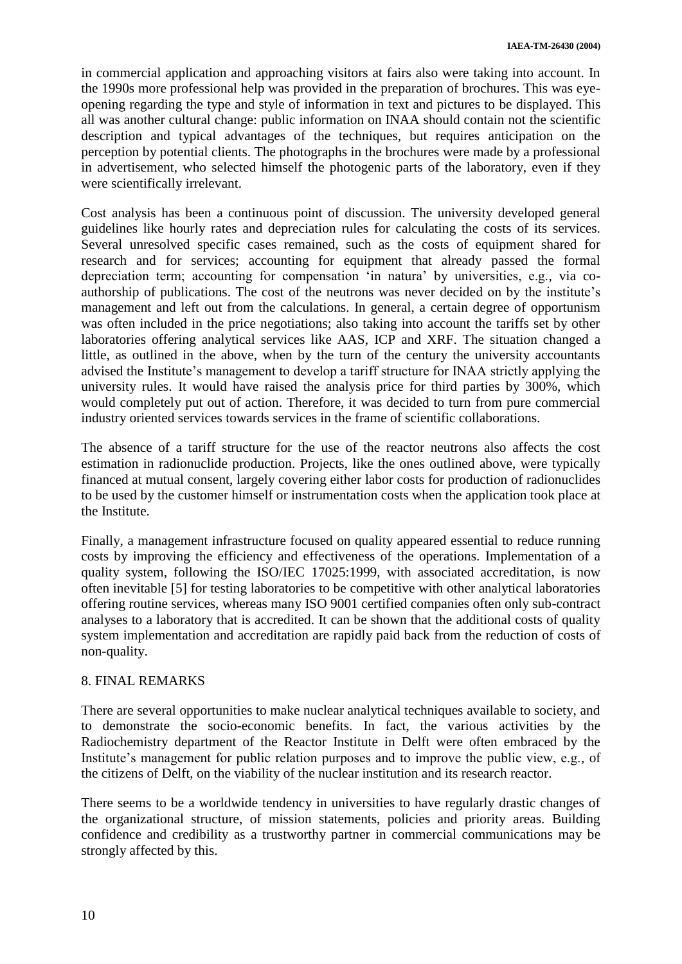in commercial application and approaching visitors at fairs also were taking into account. In the 1990s more professional help was provided in the preparation of brochures. This was eyeopening regarding the type and style of information in text and pictures to be displayed. This all was another cultural change: public information on INAA should contain not the scientific description and typical advantages of the techniques, but requires anticipation on the perception by potential clients. The photographs in the brochures were made by a professional in advertisement, who selected himself the photogenic parts of the laboratory, even if they were scientifically irrelevant.

Cost analysis has been a continuous point of discussion. The university developed general guidelines like hourly rates and depreciation rules for calculating the costs of its services. Several unresolved specific cases remained, such as the costs of equipment shared for research and for services; accounting for equipment that already passed the formal depreciation term; accounting for compensation 'in natura' by universities, e.g., via coauthorship of publications. The cost of the neutrons was never decided on by the institute's management and left out from the calculations. In general, a certain degree of opportunism was often included in the price negotiations; also taking into account the tariffs set by other laboratories offering analytical services like AAS, ICP and XRF. The situation changed a little, as outlined in the above, when by the turn of the century the university accountants advised the Institute's management to develop a tariff structure for INAA strictly applying the university rules. It would have raised the analysis price for third parties by 300%, which would completely put out of action. Therefore, it was decided to turn from pure commercial industry oriented services towards services in the frame of scientific collaborations.

The absence of a tariff structure for the use of the reactor neutrons also affects the cost estimation in radionuclide production. Projects, like the ones outlined above, were typically financed at mutual consent, largely covering either labor costs for production of radionuclides to be used by the customer himself or instrumentation costs when the application took place at the Institute.

Finally, a management infrastructure focused on quality appeared essential to reduce running costs by improving the efficiency and effectiveness of the operations. Implementation of a quality system, following the ISO/IEC 17025:1999, with associated accreditation, is now often inevitable [5] for testing laboratories to be competitive with other analytical laboratories offering routine services, whereas many ISO 9001 certified companies often only sub-contract analyses to a laboratory that is accredited. It can be shown that the additional costs of quality system implementation and accreditation are rapidly paid back from the reduction of costs of non-quality.

## 8. FINAL REMARKS

There are several opportunities to make nuclear analytical techniques available to society, and to demonstrate the socio-economic benefits. In fact, the various activities by the Radiochemistry department of the Reactor Institute in Delft were often embraced by the Institute's management for public relation purposes and to improve the public view, e.g., of the citizens of Delft, on the viability of the nuclear institution and its research reactor.

There seems to be a worldwide tendency in universities to have regularly drastic changes of the organizational structure, of mission statements, policies and priority areas. Building confidence and credibility as a trustworthy partner in commercial communications may be strongly affected by this.